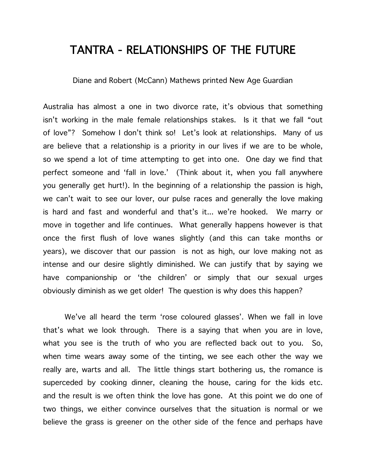## TANTRA - RELATIONSHIPS OF THE FUTURE

Diane and Robert (McCann) Mathews printed New Age Guardian

Australia has almost a one in two divorce rate, it's obvious that something isn't working in the male female relationships stakes. Is it that we fall "out of love"? Somehow I don't think so! Let's look at relationships. Many of us are believe that a relationship is a priority in our lives if we are to be whole, so we spend a lot of time attempting to get into one. One day we find that perfect someone and 'fall in love.' (Think about it, when you fall anywhere you generally get hurt!). In the beginning of a relationship the passion is high, we can't wait to see our lover, our pulse races and generally the love making is hard and fast and wonderful and that's it... we're hooked. We marry or move in together and life continues. What generally happens however is that once the first flush of love wanes slightly (and this can take months or years), we discover that our passion is not as high, our love making not as intense and our desire slightly diminished. We can justify that by saying we have companionship or 'the children' or simply that our sexual urges obviously diminish as we get older! The question is why does this happen?

We've all heard the term 'rose coloured glasses'. When we fall in love that's what we look through. There is a saying that when you are in love, what you see is the truth of who you are reflected back out to you. So, when time wears away some of the tinting, we see each other the way we really are, warts and all. The little things start bothering us, the romance is superceded by cooking dinner, cleaning the house, caring for the kids etc. and the result is we often think the love has gone. At this point we do one of two things, we either convince ourselves that the situation is normal or we believe the grass is greener on the other side of the fence and perhaps have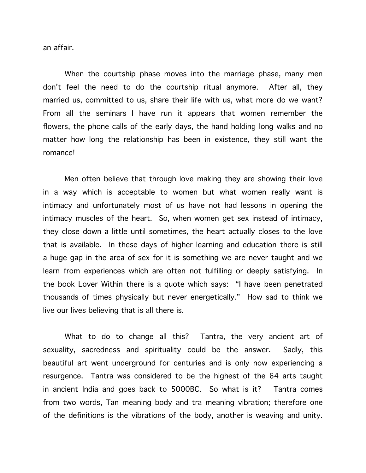an affair.

When the courtship phase moves into the marriage phase, many men don't feel the need to do the courtship ritual anymore. After all, they married us, committed to us, share their life with us, what more do we want? From all the seminars I have run it appears that women remember the flowers, the phone calls of the early days, the hand holding long walks and no matter how long the relationship has been in existence, they still want the romance!

Men often believe that through love making they are showing their love in a way which is acceptable to women but what women really want is intimacy and unfortunately most of us have not had lessons in opening the intimacy muscles of the heart. So, when women get sex instead of intimacy, they close down a little until sometimes, the heart actually closes to the love that is available. In these days of higher learning and education there is still a huge gap in the area of sex for it is something we are never taught and we learn from experiences which are often not fulfilling or deeply satisfying. In the book Lover Within there is a quote which says: "I have been penetrated thousands of times physically but never energetically." How sad to think we live our lives believing that is all there is.

What to do to change all this? Tantra, the very ancient art of sexuality, sacredness and spirituality could be the answer. Sadly, this beautiful art went underground for centuries and is only now experiencing a resurgence. Tantra was considered to be the highest of the 64 arts taught in ancient India and goes back to 5000BC. So what is it? Tantra comes from two words, Tan meaning body and tra meaning vibration; therefore one of the definitions is the vibrations of the body, another is weaving and unity.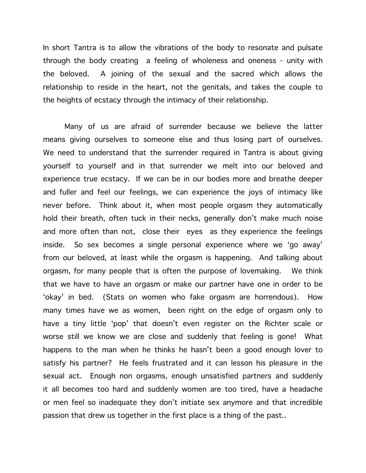In short Tantra is to allow the vibrations of the body to resonate and pulsate through the body creating a feeling of wholeness and oneness - unity with the beloved. A joining of the sexual and the sacred which allows the relationship to reside in the heart, not the genitals, and takes the couple to the heights of ecstacy through the intimacy of their relationship.

Many of us are afraid of surrender because we believe the latter means giving ourselves to someone else and thus losing part of ourselves. We need to understand that the surrender required in Tantra is about giving yourself to yourself and in that surrender we melt into our beloved and experience true ecstacy. If we can be in our bodies more and breathe deeper and fuller and feel our feelings, we can experience the joys of intimacy like never before. Think about it, when most people orgasm they automatically hold their breath, often tuck in their necks, generally don't make much noise and more often than not, close their eyes as they experience the feelings inside. So sex becomes a single personal experience where we 'go away' from our beloved, at least while the orgasm is happening. And talking about orgasm, for many people that is often the purpose of lovemaking. We think that we have to have an orgasm or make our partner have one in order to be 'okay' in bed. (Stats on women who fake orgasm are horrendous). How many times have we as women, been right on the edge of orgasm only to have a tiny little 'pop' that doesn't even register on the Richter scale or worse still we know we are close and suddenly that feeling is gone! What happens to the man when he thinks he hasn't been a good enough lover to satisfy his partner? He feels frustrated and it can lesson his pleasure in the sexual act. Enough non orgasms, enough unsatisfied partners and suddenly it all becomes too hard and suddenly women are too tired, have a headache or men feel so inadequate they don't initiate sex anymore and that incredible passion that drew us together in the first place is a thing of the past..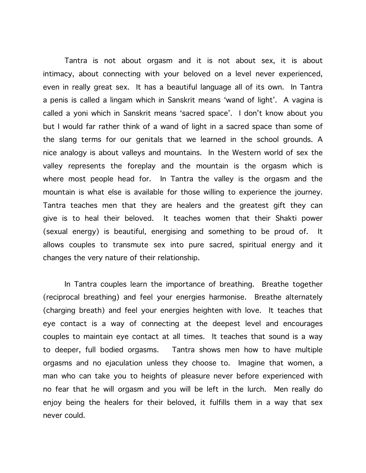Tantra is not about orgasm and it is not about sex, it is about intimacy, about connecting with your beloved on a level never experienced, even in really great sex. It has a beautiful language all of its own. In Tantra a penis is called a lingam which in Sanskrit means 'wand of light'. A vagina is called a yoni which in Sanskrit means 'sacred space'. I don't know about you but I would far rather think of a wand of light in a sacred space than some of the slang terms for our genitals that we learned in the school grounds. A nice analogy is about valleys and mountains. In the Western world of sex the valley represents the foreplay and the mountain is the orgasm which is where most people head for. In Tantra the valley is the orgasm and the mountain is what else is available for those willing to experience the journey. Tantra teaches men that they are healers and the greatest gift they can give is to heal their beloved. It teaches women that their Shakti power (sexual energy) is beautiful, energising and something to be proud of. It allows couples to transmute sex into pure sacred, spiritual energy and it changes the very nature of their relationship.

In Tantra couples learn the importance of breathing. Breathe together (reciprocal breathing) and feel your energies harmonise. Breathe alternately (charging breath) and feel your energies heighten with love. It teaches that eye contact is a way of connecting at the deepest level and encourages couples to maintain eye contact at all times. It teaches that sound is a way to deeper, full bodied orgasms. Tantra shows men how to have multiple orgasms and no ejaculation unless they choose to. Imagine that women, a man who can take you to heights of pleasure never before experienced with no fear that he will orgasm and you will be left in the lurch. Men really do enjoy being the healers for their beloved, it fulfills them in a way that sex never could.